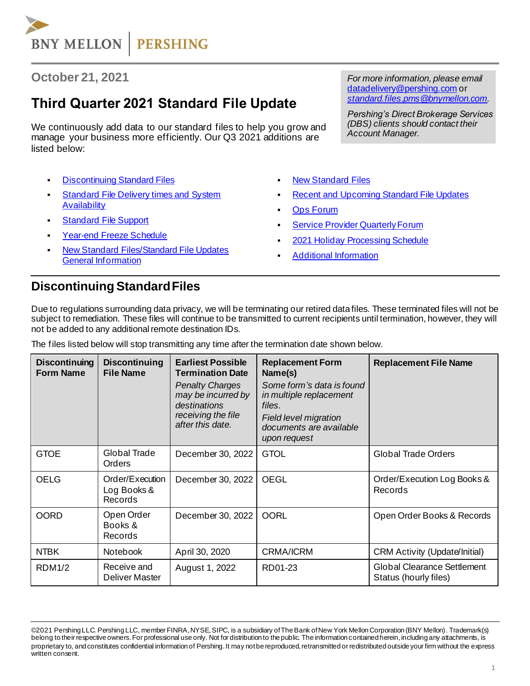

#### **October 21, 2021**

# **Third Quarter 2021 Standard File Update**

We continuously add data to our standard files to help you grow and manage your business more efficiently. Our Q3 2021 additions are listed below:

- **[Discontinuing Standard Files](#page-0-0)**
- **Standard File Delivery times and System [Availability](#page-1-0)**
- **Standard [File Support](#page-1-1)**
- [Year-end Freeze Schedule](#page-1-2)
- **New Standard Files/Standard File Updates** [General Information](#page-2-0)

*For more information, please email*  [datadelivery@pershing.com](mailto:datadelivery@pershing.com%20or) or *[standard.files.pms@bnymellon.com.](mailto:standard.files.pms@bnymellon.com)*

*Pershing's Direct Brokerage Services (DBS) clients should contact their Account Manager.*

- **[New Standard Files](#page-2-1)**
- **[Recent and Upcoming Standard](#page-2-2) File Updates**
- **Ops [Forum](#page-3-0)**
- **Service Provider Quarterly Forum**
- 2021 Holiday [Processing Schedule](#page-3-2)
- **[Additional Information](#page-4-0)**

#### <span id="page-0-0"></span>**Discontinuing Standard Files**

Due to regulations surrounding data privacy, we will be terminating our retired data files. These terminated files will not be subject to remediation. These files will continue to be transmitted to current recipients until termination, however, they will not be added to any additional remote destination IDs.

The files listed below will stop transmitting any time after the termination date shown below.

| <b>Discontinuing</b><br><b>Form Name</b> | <b>Discontinuing</b><br><b>File Name</b>  | <b>Earliest Possible</b><br><b>Termination Date</b><br><b>Penalty Charges</b><br>may be incurred by<br>destinations<br>receiving the file<br>after this date. | <b>Replacement Form</b><br>Name(s)<br>Some form's data is found<br>in multiple replacement<br>files.<br><b>Field level migration</b><br>documents are available<br>upon request | <b>Replacement File Name</b>                                |
|------------------------------------------|-------------------------------------------|---------------------------------------------------------------------------------------------------------------------------------------------------------------|---------------------------------------------------------------------------------------------------------------------------------------------------------------------------------|-------------------------------------------------------------|
| <b>GTOE</b>                              | Global Trade<br><b>Orders</b>             | December 30, 2022                                                                                                                                             | <b>GTOL</b>                                                                                                                                                                     | <b>Global Trade Orders</b>                                  |
| <b>OELG</b>                              | Order/Execution<br>Log Books &<br>Records | December 30, 2022                                                                                                                                             | <b>OEGL</b>                                                                                                                                                                     | Order/Execution Log Books &<br>Records                      |
| <b>OORD</b>                              | Open Order<br>Books &<br>Records          | December 30, 2022                                                                                                                                             | <b>OORL</b>                                                                                                                                                                     | Open Order Books & Records                                  |
| <b>NTBK</b>                              | <b>Notebook</b>                           | April 30, 2020                                                                                                                                                | <b>CRMA/ICRM</b>                                                                                                                                                                | <b>CRM Activity (Update/Initial)</b>                        |
| RDM1/2                                   | Receive and<br>Deliver Master             | August 1, 2022                                                                                                                                                | RD01-23                                                                                                                                                                         | <b>Global Clearance Settlement</b><br>Status (hourly files) |

<sup>©2021</sup> Pershing LLC. Pershing LLC, member FINRA, NYSE, SIPC, is a subsidiary of The Bank of New York Mellon Corporation (BNY Mellon). Trademark(s) belong to their respective owners. For professional use only. Not for distribution to the public. The information contained herein, including any attachments, is proprietary to, and constitutes confidential information of Pershing. It may not be reproduced, retransmitted or redistributed outside your firm without the express written consent.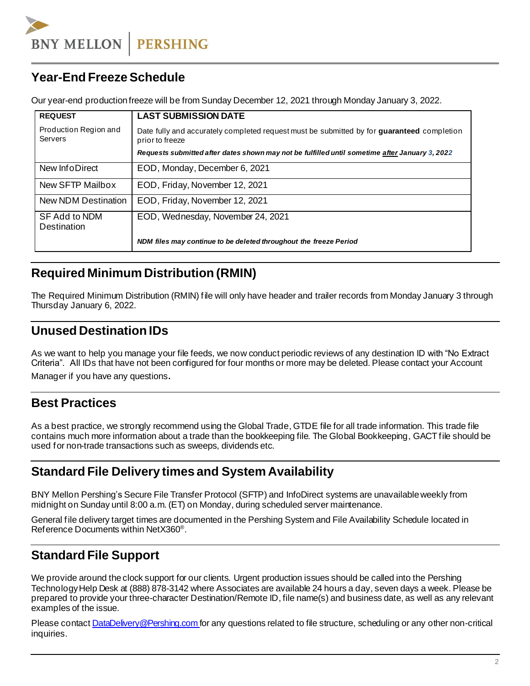**BNY MELLON PERSHING** 

## <span id="page-1-2"></span>**Year-End Freeze Schedule**

Our year-end production freeze will be from Sunday December 12, 2021 through Monday January 3, 2022.

| <b>REQUEST</b>                      | <b>LAST SUBMISSION DATE</b>                                                                                          |
|-------------------------------------|----------------------------------------------------------------------------------------------------------------------|
| Production Region and<br>Servers    | Date fully and accurately completed request must be submitted by for <b>quaranteed</b> completion<br>prior to freeze |
|                                     | Requests submitted after dates shown may not be fulfilled until sometime after January 3, 2022                       |
| New InfoDirect                      | EOD, Monday, December 6, 2021                                                                                        |
| New SFTP Mailbox                    | EOD, Friday, November 12, 2021                                                                                       |
| New NDM Destination                 | EOD, Friday, November 12, 2021                                                                                       |
| <b>SF Add to NDM</b><br>Destination | EOD, Wednesday, November 24, 2021                                                                                    |
|                                     | NDM files may continue to be deleted throughout the freeze Period                                                    |

## **Required Minimum Distribution (RMIN)**

The Required Minimum Distribution (RMIN) file will only have header and trailer records from Monday January 3 through Thursday January 6, 2022.

#### **Unused Destination IDs**

As we want to help you manage your file feeds, we now conduct periodic reviews of any destination ID with "No Extract Criteria". All IDs that have not been configured for four months or more may be deleted. Please contact your Account

Manager if you have any questions.

### **Best Practices**

As a best practice, we strongly recommend using the Global Trade, GTDE file for all trade information. This trade file contains much more information about a trade than the bookkeeping file. The Global Bookkeeping, GACT file should be used for non-trade transactions such as sweeps, dividends etc.

### <span id="page-1-0"></span>**Standard File Delivery times and System Availability**

BNY Mellon Pershing's Secure File Transfer Protocol (SFTP) and InfoDirect systems are unavailable weekly from midnight on Sunday until 8:00 a.m. (ET) on Monday, during scheduled server maintenance.

General file delivery target times are documented in the Pershing System and File Availability Schedule located in Reference Documents within NetX360<sup>®</sup>.

## <span id="page-1-1"></span>**Standard File Support**

We provide around the clock support for our clients. Urgent production issues should be called into the Pershing TechnologyHelp Desk at (888) 878-3142 where Associates are available 24 hours a day, seven days a week. Please be prepared to provide your three-character Destination/Remote ID, file name(s) and business date, as well as any relevant examples of the issue.

Please contact **DataDelivery@Pershing.com for any questions related to file structure, scheduling or any other non-critical** inquiries.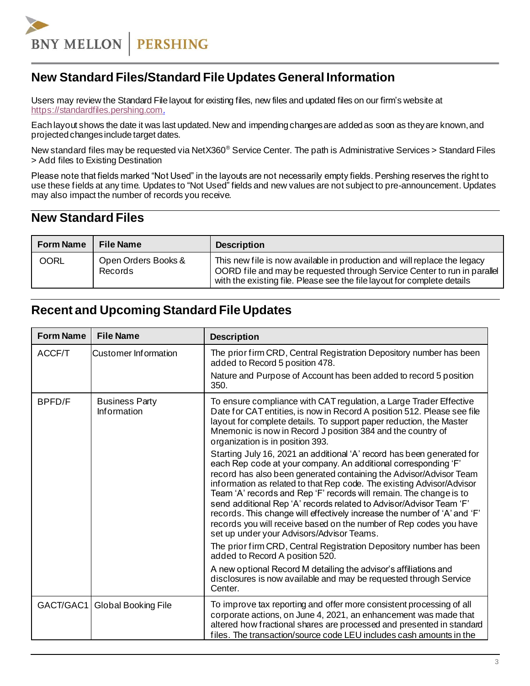**BNY MELLON PERSHING** 

#### <span id="page-2-0"></span>**New Standard Files/Standard File Updates General Information**

Users may review the Standard File layout for existing files, new files and updated files on our firm's website at [https://standardfiles.pershing.com](https://standardfiles.pershing.com/home/-/categories/275237?cat=275237).

Each layout shows the date it was last updated. New and impending changes are added as soon as they are known, and projected changes include target dates.

New standard files may be requested via NetX360<sup>®</sup> Service Center. The path is Administrative Services > Standard Files > Add files to Existing Destination

Please note that fields marked "Not Used" in the layouts are not necessarily empty fields. Pershing reserves the right to use these fields at any time. Updates to "Not Used" fields and new values are not subject to pre-announcement. Updates may also impact the number of records you receive.

#### <span id="page-2-1"></span>**New Standard Files**

| <b>Form Name</b> | <b>File Name</b>               | <b>Description</b>                                                                                                                                                                                                              |
|------------------|--------------------------------|---------------------------------------------------------------------------------------------------------------------------------------------------------------------------------------------------------------------------------|
| OORL             | Open Orders Books &<br>Records | This new file is now available in production and will replace the legacy<br>OORD file and may be requested through Service Center to run in parallel<br>with the existing file. Please see the file layout for complete details |

## <span id="page-2-2"></span>**Recent and Upcoming Standard File Updates**

| <b>Form Name</b> | <b>File Name</b>                     | <b>Description</b>                                                                                                                                                                                                                                                                                                                                                                                                                                                                                                                                                                                                                  |
|------------------|--------------------------------------|-------------------------------------------------------------------------------------------------------------------------------------------------------------------------------------------------------------------------------------------------------------------------------------------------------------------------------------------------------------------------------------------------------------------------------------------------------------------------------------------------------------------------------------------------------------------------------------------------------------------------------------|
| ACCF/T           | <b>Customer Information</b>          | The prior firm CRD, Central Registration Depository number has been<br>added to Record 5 position 478.<br>Nature and Purpose of Account has been added to record 5 position<br>350.                                                                                                                                                                                                                                                                                                                                                                                                                                                 |
| BPFD/F           | <b>Business Party</b><br>Information | To ensure compliance with CAT regulation, a Large Trader Effective<br>Date for CAT entities, is now in Record A position 512. Please see file<br>layout for complete details. To support paper reduction, the Master<br>Mnemonic is now in Record J position 384 and the country of<br>organization is in position 393.                                                                                                                                                                                                                                                                                                             |
|                  |                                      | Starting July 16, 2021 an additional 'A' record has been generated for<br>each Rep code at your company. An additional corresponding 'F'<br>record has also been generated containing the Advisor/Advisor Team<br>information as related to that Rep code. The existing Advisor/Advisor<br>Team 'A' records and Rep 'F' records will remain. The change is to<br>send additional Rep 'A' records related to Advisor/Advisor Team 'F'<br>records. This change will effectively increase the number of 'A' and 'F'<br>records you will receive based on the number of Rep codes you have<br>set up under your Advisors/Advisor Teams. |
|                  |                                      | The prior firm CRD, Central Registration Depository number has been<br>added to Record A position 520.                                                                                                                                                                                                                                                                                                                                                                                                                                                                                                                              |
|                  |                                      | A new optional Record M detailing the advisor's affiliations and<br>disclosures is now available and may be requested through Service<br>Center.                                                                                                                                                                                                                                                                                                                                                                                                                                                                                    |
|                  | GACT/GAC1   Global Booking File      | To improve tax reporting and offer more consistent processing of all<br>corporate actions, on June 4, 2021, an enhancement was made that<br>altered how fractional shares are processed and presented in standard<br>files. The transaction/source code LEU includes cash amounts in the                                                                                                                                                                                                                                                                                                                                            |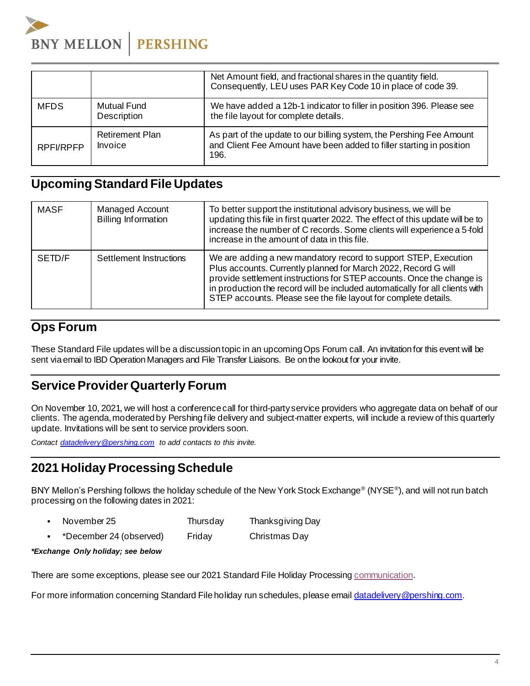

|             |                                   | Net Amount field, and fractional shares in the quantity field.<br>Consequently, LEU uses PAR Key Code 10 in place of code 39.                        |
|-------------|-----------------------------------|------------------------------------------------------------------------------------------------------------------------------------------------------|
| <b>MFDS</b> | <b>Mutual Fund</b><br>Description | We have added a 12b-1 indicator to filler in position 396. Please see<br>the file layout for complete details.                                       |
| RPFI/RPFP   | <b>Retirement Plan</b><br>Invoice | As part of the update to our billing system, the Pershing Fee Amount<br>and Client Fee Amount have been added to filler starting in position<br>196. |

#### **Upcoming Standard File Updates**

| <b>MASF</b> | <b>Managed Account</b><br><b>Billing Information</b> | To better support the institutional advisory business, we will be<br>updating this file in first quarter 2022. The effect of this update will be to<br>increase the number of C records. Some clients will experience a 5-fold<br>increase in the amount of data in this file.                                                                                |
|-------------|------------------------------------------------------|---------------------------------------------------------------------------------------------------------------------------------------------------------------------------------------------------------------------------------------------------------------------------------------------------------------------------------------------------------------|
| SETD/F      | Settlement Instructions                              | We are adding a new mandatory record to support STEP, Execution<br>Plus accounts. Currently planned for March 2022, Record G will<br>provide settlement instructions for STEP accounts. Once the change is<br>in production the record will be included automatically for all clients with<br>STEP accounts. Please see the file layout for complete details. |

#### <span id="page-3-0"></span>**Ops Forum**

These Standard File updates will be a discussiontopic in an upcomingOps Forum call. An invitation for this event will be sent via email to IBD Operation Managers and File Transfer Liaisons. Be on the lookout for your invite.

## <span id="page-3-1"></span>**Service Provider Quarterly Forum**

On November 10, 2021, we will host a conferencecall for third-partyservice providers who aggregate data on behalf of our clients. The agenda,moderated by Pershingfile delivery and subject-matter experts, will include a review of this quarterly update. Invitations will be sent to service providers soon.

*Contact [datadelivery@pershing.com](mailto:datadelivery@pershing.com%20or) to add contacts to this invite.*

### <span id="page-3-2"></span>**2021 HolidayProcessing Schedule**

BNY Mellon's Pershing follows the holiday schedule of the New York Stock Exchange® (NYSE® ), and will not run batch processing on the following dates in 2021:

- November 25 Thursday Thanksgiving Day
- \*December 24 (observed) Friday Christmas Day

#### *\*Exchange Only holiday; see below*

There are some exceptions, please see our 2021 Standard File Holiday Processin[g communication](https://communications.pershing.com/reader/pershing/pershing-standard-file-holiday-processing-1).

For more information concerning Standard File holiday run schedules, please ema[il datadelivery@pershing.com](mailto:datadelivery@pershing.com).